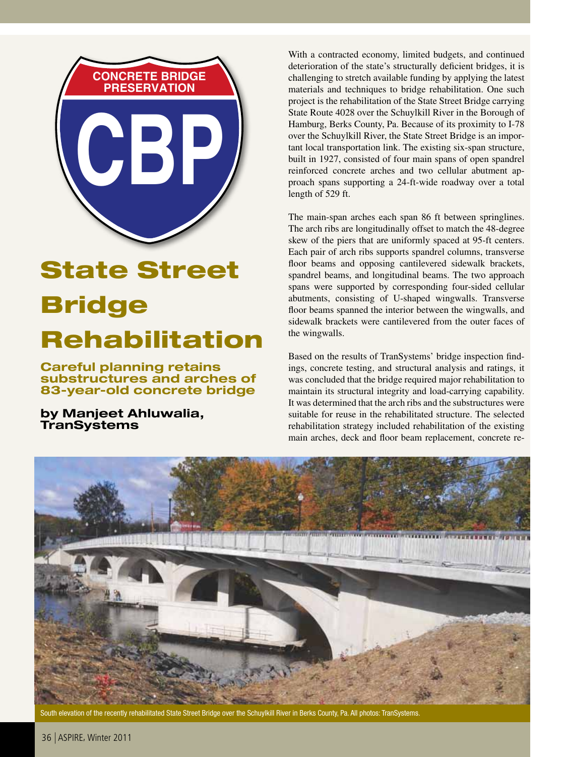

## State Street Bridge Rehabilitation

Careful planning retains substructures and arches of 83-year-old concrete bridge

### by Manjeet Ahluwalia, **TranSystems**

With a contracted economy, limited budgets, and continued deterioration of the state's structurally deficient bridges, it is challenging to stretch available funding by applying the latest materials and techniques to bridge rehabilitation. One such project is the rehabilitation of the State Street Bridge carrying State Route 4028 over the Schuylkill River in the Borough of Hamburg, Berks County, Pa. Because of its proximity to I-78 over the Schuylkill River, the State Street Bridge is an important local transportation link. The existing six-span structure, built in 1927, consisted of four main spans of open spandrel reinforced concrete arches and two cellular abutment approach spans supporting a 24-ft-wide roadway over a total length of 529 ft.

The main-span arches each span 86 ft between springlines. The arch ribs are longitudinally offset to match the 48-degree skew of the piers that are uniformly spaced at 95-ft centers. Each pair of arch ribs supports spandrel columns, transverse floor beams and opposing cantilevered sidewalk brackets, spandrel beams, and longitudinal beams. The two approach spans were supported by corresponding four-sided cellular abutments, consisting of U-shaped wingwalls. Transverse floor beams spanned the interior between the wingwalls, and sidewalk brackets were cantilevered from the outer faces of the wingwalls.

Based on the results of TranSystems' bridge inspection findings, concrete testing, and structural analysis and ratings, it was concluded that the bridge required major rehabilitation to maintain its structural integrity and load-carrying capability. It was determined that the arch ribs and the substructures were suitable for reuse in the rehabilitated structure. The selected rehabilitation strategy included rehabilitation of the existing main arches, deck and floor beam replacement, concrete re-



South elevation of the recently rehabilitated State Street Bridge over the Schuylkill River in Berks County, Pa. All photos: TranSystems.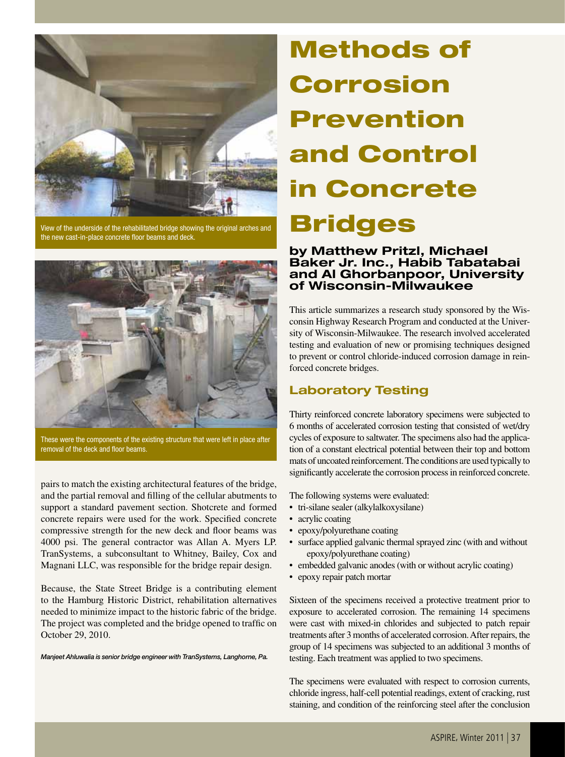

View of the underside of the rehabilitated bridge showing the original arches and the new cast-in-place concrete floor beams and deck.



These were the components of the existing structure that were left in place after removal of the deck and floor beams.

pairs to match the existing architectural features of the bridge, and the partial removal and filling of the cellular abutments to support a standard pavement section. Shotcrete and formed concrete repairs were used for the work. Specified concrete compressive strength for the new deck and floor beams was 4000 psi. The general contractor was Allan A. Myers LP. TranSystems, a subconsultant to Whitney, Bailey, Cox and Magnani LLC, was responsible for the bridge repair design.

Because, the State Street Bridge is a contributing element to the Hamburg Historic District, rehabilitation alternatives needed to minimize impact to the historic fabric of the bridge. The project was completed and the bridge opened to traffic on October 29, 2010.

*Manjeet Ahluwalia is senior bridge engineer with TranSystems, Langhorne, Pa.*

# Methods of Corrosion Prevention and Control in Concrete Bridges

#### by Matthew Pritzl, Michael Baker Jr. Inc., Habib Tabatabai and Al Ghorbanpoor, University of Wisconsin-Milwaukee

This article summarizes a research study sponsored by the Wisconsin Highway Research Program and conducted at the University of Wisconsin-Milwaukee. The research involved accelerated testing and evaluation of new or promising techniques designed to prevent or control chloride-induced corrosion damage in reinforced concrete bridges.

## Laboratory Testing

Thirty reinforced concrete laboratory specimens were subjected to 6 months of accelerated corrosion testing that consisted of wet/dry cycles of exposure to saltwater. The specimens also had the application of a constant electrical potential between their top and bottom mats of uncoated reinforcement. The conditions are used typically to significantly accelerate the corrosion process in reinforced concrete.

The following systems were evaluated:

- • tri-silane sealer (alkylalkoxysilane)
- acrylic coating
- epoxy/polyurethane coating
- surface applied galvanic thermal sprayed zinc (with and without epoxy/polyurethane coating)
- embedded galvanic anodes (with or without acrylic coating)
- epoxy repair patch mortar

Sixteen of the specimens received a protective treatment prior to exposure to accelerated corrosion. The remaining 14 specimens were cast with mixed-in chlorides and subjected to patch repair treatments after 3 months of accelerated corrosion. After repairs, the group of 14 specimens was subjected to an additional 3 months of testing. Each treatment was applied to two specimens.

The specimens were evaluated with respect to corrosion currents, chloride ingress, half-cell potential readings, extent of cracking, rust staining, and condition of the reinforcing steel after the conclusion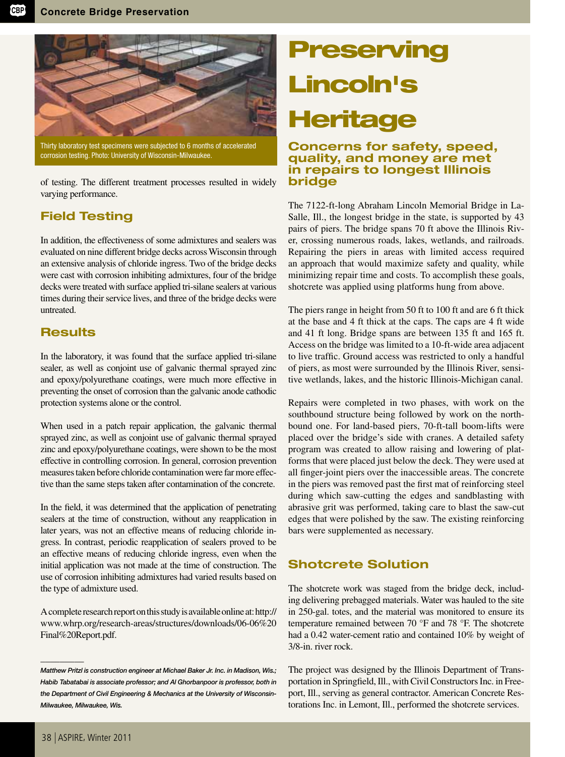

Thirty laboratory test specimens were subjected to 6 months of accelerated corrosion testing. Photo: University of Wisconsin-Milwaukee.

of testing. The different treatment processes resulted in widely varying performance.

## Field Testing

In addition, the effectiveness of some admixtures and sealers was evaluated on nine different bridge decks across Wisconsin through an extensive analysis of chloride ingress. Two of the bridge decks were cast with corrosion inhibiting admixtures, four of the bridge decks were treated with surface applied tri-silane sealers at various times during their service lives, and three of the bridge decks were untreated.

## **Results**

In the laboratory, it was found that the surface applied tri-silane sealer, as well as conjoint use of galvanic thermal sprayed zinc and epoxy/polyurethane coatings, were much more effective in preventing the onset of corrosion than the galvanic anode cathodic protection systems alone or the control.

When used in a patch repair application, the galvanic thermal sprayed zinc, as well as conjoint use of galvanic thermal sprayed zinc and epoxy/polyurethane coatings, were shown to be the most effective in controlling corrosion. In general, corrosion prevention measures taken before chloride contamination were far more effective than the same steps taken after contamination of the concrete.

In the field, it was determined that the application of penetrating sealers at the time of construction, without any reapplication in later years, was not an effective means of reducing chloride ingress. In contrast, periodic reapplication of sealers proved to be an effective means of reducing chloride ingress, even when the initial application was not made at the time of construction. The use of corrosion inhibiting admixtures had varied results based on the type of admixture used.

A complete research report on this study is available online at: http:// www.whrp.org/research-areas/structures/downloads/06-06%20 Final%20Report.pdf.

## **Preserving** Lincoln's **Heritage**

#### Concerns for safety, speed, quality, and money are met in repairs to longest Illinois bridge

The 7122-ft-long Abraham Lincoln Memorial Bridge in La-Salle, Ill., the longest bridge in the state, is supported by 43 pairs of piers. The bridge spans 70 ft above the Illinois River, crossing numerous roads, lakes, wetlands, and railroads. Repairing the piers in areas with limited access required an approach that would maximize safety and quality, while minimizing repair time and costs. To accomplish these goals, shotcrete was applied using platforms hung from above.

The piers range in height from 50 ft to 100 ft and are 6 ft thick at the base and 4 ft thick at the caps. The caps are 4 ft wide and 41 ft long. Bridge spans are between 135 ft and 165 ft. Access on the bridge was limited to a 10-ft-wide area adjacent to live traffic. Ground access was restricted to only a handful of piers, as most were surrounded by the Illinois River, sensitive wetlands, lakes, and the historic Illinois-Michigan canal.

Repairs were completed in two phases, with work on the southbound structure being followed by work on the northbound one. For land-based piers, 70-ft-tall boom-lifts were placed over the bridge's side with cranes. A detailed safety program was created to allow raising and lowering of platforms that were placed just below the deck. They were used at all finger-joint piers over the inaccessible areas. The concrete in the piers was removed past the first mat of reinforcing steel during which saw-cutting the edges and sandblasting with abrasive grit was performed, taking care to blast the saw-cut edges that were polished by the saw. The existing reinforcing bars were supplemented as necessary.

## Shotcrete Solution

The shotcrete work was staged from the bridge deck, including delivering prebagged materials. Water was hauled to the site in 250-gal. totes, and the material was monitored to ensure its temperature remained between 70 °F and 78 °F. The shotcrete had a 0.42 water-cement ratio and contained 10% by weight of 3/8-in. river rock.

The project was designed by the Illinois Department of Transportation in Springfield, Ill., with Civil Constructors Inc. in Freeport, Ill., serving as general contractor. American Concrete Restorations Inc. in Lemont, Ill., performed the shotcrete services.

\_\_\_\_\_\_\_\_\_

*Matthew Pritzl is construction engineer at Michael Baker Jr. Inc. in Madison, Wis.; Habib Tabatabai is associate professor; and Al Ghorbanpoor is professor, both in the Department of Civil Engineering & Mechanics at the University of Wisconsin-Milwaukee, Milwaukee, Wis.*